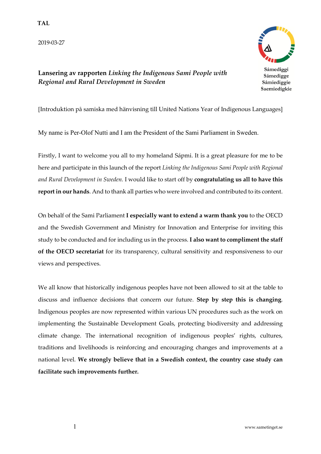**TAL** 

2019-03-27



**Lansering av rapporten** *Linking the Indigenous Sami People with Regional and Rural Development in Sweden*

Sámediggi Sámedigge Sámiediggie Saemiedigkie

[Introduktion på samiska med hänvisning till United Nations Year of Indigenous Languages]

My name is Per-Olof Nutti and I am the President of the Sami Parliament in Sweden.

Firstly, I want to welcome you all to my homeland Sápmi. It is a great pleasure for me to be here and participate in this launch of the report *Linking the Indigenous Sami People with Regional and Rural Development in Sweden.* I would like to start off by **congratulating us all to have this report in our hands**. And to thank all parties who were involved and contributed to its content.

On behalf of the Sami Parliament **I especially want to extend a warm thank you** to the OECD and the Swedish Government and Ministry for Innovation and Enterprise for inviting this study to be conducted and for including us in the process. **I also want to compliment the staff of the OECD secretariat** for its transparency, cultural sensitivity and responsiveness to our views and perspectives.

We all know that historically indigenous peoples have not been allowed to sit at the table to discuss and influence decisions that concern our future. **Step by step this is changing**. Indigenous peoples are now represented within various UN procedures such as the work on implementing the Sustainable Development Goals, protecting biodiversity and addressing climate change. The international recognition of indigenous peoples' rights, cultures, traditions and livelihoods is reinforcing and encouraging changes and improvements at a national level. **We strongly believe that in a Swedish context, the country case study can facilitate such improvements further.**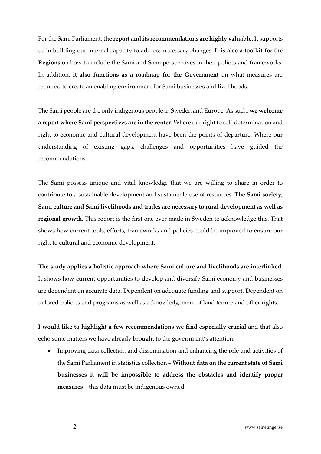For the Sami Parliament, t**he report and its recommendations are highly valuable.** It supports us in building our internal capacity to address necessary changes. **It is also a toolkit for the Regions** on how to include the Sami and Sami perspectives in their polices and frameworks. In addition, **it also functions as a roadmap for the Government** on what measures are required to create an enabling environment for Sami businesses and livelihoods.

The Sami people are the only indigenous people in Sweden and Europe. As such, **we welcome a report where Sami perspectives are in the center**. Where our right to self-determination and right to economic and cultural development have been the points of departure. Where our understanding of existing gaps, challenges and opportunities have guided the recommendations.

The Sami possess unique and vital knowledge that we are willing to share in order to contribute to a sustainable development and sustainable use of resources. **The Sami society, Sami culture and Sami livelihoods and trades are necessary to rural development as well as regional growth.** This report is the first one ever made in Sweden to acknowledge this. That shows how current tools, efforts, frameworks and policies could be improved to ensure our right to cultural and economic development.

**The study applies a holistic approach where Sami culture and livelihoods are interlinked.** It shows how current opportunities to develop and diversify Sami economy and businesses are dependent on accurate data. Dependent on adequate funding and support. Dependent on tailored policies and programs as well as acknowledgement of land tenure and other rights.

**I would like to highlight a few recommendations we find especially crucial** and that also echo some matters we have already brought to the government's attention.

• Improving data collection and dissemination and enhancing the role and activities of the Sami Parliament in statistics collection – **Without data on the current state of Sami businesses it will be impossible to address the obstacles and identify proper measures** – this data must be indigenous owned.